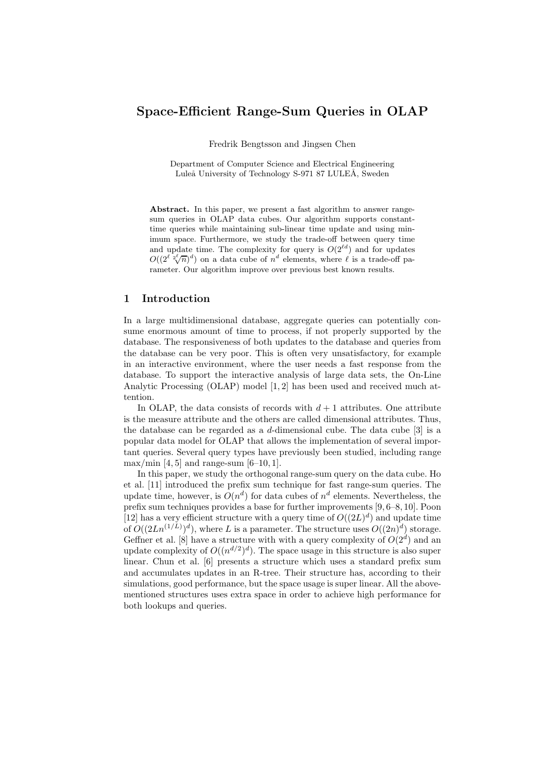# Space-Efficient Range-Sum Queries in OLAP

Fredrik Bengtsson and Jingsen Chen

Department of Computer Science and Electrical Engineering Luleå University of Technology S-971 87 LULEÅ, Sweden

Abstract. In this paper, we present a fast algorithm to answer rangesum queries in OLAP data cubes. Our algorithm supports constanttime queries while maintaining sub-linear time update and using minimum space. Furthermore, we study the trade-off between query time and update time. The complexity for query is  $O(2^{\ell d})$  and for updates  $O((2^{\ell^2} \sqrt[2]{n})^d)$  on a data cube of  $n^d$  elements, where  $\ell$  is a trade-off parameter. Our algorithm improve over previous best known results.

# 1 Introduction

In a large multidimensional database, aggregate queries can potentially consume enormous amount of time to process, if not properly supported by the database. The responsiveness of both updates to the database and queries from the database can be very poor. This is often very unsatisfactory, for example in an interactive environment, where the user needs a fast response from the database. To support the interactive analysis of large data sets, the On-Line Analytic Processing (OLAP) model [1, 2] has been used and received much attention.

In OLAP, the data consists of records with  $d+1$  attributes. One attribute is the measure attribute and the others are called dimensional attributes. Thus, the database can be regarded as a d-dimensional cube. The data cube [3] is a popular data model for OLAP that allows the implementation of several important queries. Several query types have previously been studied, including range  $\max/\min$  [4, 5] and range-sum [6–10, 1].

In this paper, we study the orthogonal range-sum query on the data cube. Ho et al. [11] introduced the prefix sum technique for fast range-sum queries. The update time, however, is  $O(n^d)$  for data cubes of  $n^d$  elements. Nevertheless, the prefix sum techniques provides a base for further improvements [9, 6–8, 10]. Poon [12] has a very efficient structure with a query time of  $O((2L)^d)$  and update time of  $O((2Ln^{(1/L)})^d)$ , where L is a parameter. The structure uses  $O((2n)^d)$  storage. Geffner et al. [8] have a structure with with a query complexity of  $O(2<sup>d</sup>)$  and an update complexity of  $O((n^{d/2})^d)$ . The space usage in this structure is also super linear. Chun et al. [6] presents a structure which uses a standard prefix sum and accumulates updates in an R-tree. Their structure has, according to their simulations, good performance, but the space usage is super linear. All the abovementioned structures uses extra space in order to achieve high performance for both lookups and queries.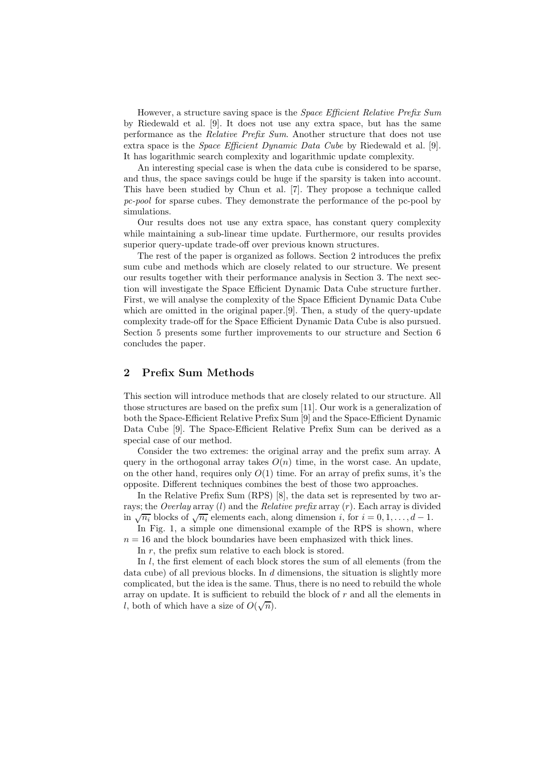However, a structure saving space is the *Space Efficient Relative Prefix Sum* by Riedewald et al. [9]. It does not use any extra space, but has the same performance as the Relative Prefix Sum. Another structure that does not use extra space is the *Space Efficient Dynamic Data Cube* by Riedewald et al. [9]. It has logarithmic search complexity and logarithmic update complexity.

An interesting special case is when the data cube is considered to be sparse, and thus, the space savings could be huge if the sparsity is taken into account. This have been studied by Chun et al. [7]. They propose a technique called pc-pool for sparse cubes. They demonstrate the performance of the pc-pool by simulations.

Our results does not use any extra space, has constant query complexity while maintaining a sub-linear time update. Furthermore, our results provides superior query-update trade-off over previous known structures.

The rest of the paper is organized as follows. Section 2 introduces the prefix sum cube and methods which are closely related to our structure. We present our results together with their performance analysis in Section 3. The next section will investigate the Space Efficient Dynamic Data Cube structure further. First, we will analyse the complexity of the Space Efficient Dynamic Data Cube which are omitted in the original paper.[9]. Then, a study of the query-update complexity trade-off for the Space Efficient Dynamic Data Cube is also pursued. Section 5 presents some further improvements to our structure and Section 6 concludes the paper.

# 2 Prefix Sum Methods

This section will introduce methods that are closely related to our structure. All those structures are based on the prefix sum [11]. Our work is a generalization of both the Space-Efficient Relative Prefix Sum [9] and the Space-Efficient Dynamic Data Cube [9]. The Space-Efficient Relative Prefix Sum can be derived as a special case of our method.

Consider the two extremes: the original array and the prefix sum array. A query in the orthogonal array takes  $O(n)$  time, in the worst case. An update, on the other hand, requires only  $O(1)$  time. For an array of prefix sums, it's the opposite. Different techniques combines the best of those two approaches.

In the Relative Prefix Sum (RPS) [8], the data set is represented by two arrays; the Overlay array  $(l)$  and the Relative prefix array  $(r)$ . Each array is divided in  $\sqrt{n_i}$  blocks of  $\sqrt{n_i}$  elements each, along dimension i, for  $i = 0, 1, ..., d - 1$ .

In Fig. 1, a simple one dimensional example of the RPS is shown, where  $n = 16$  and the block boundaries have been emphasized with thick lines.

In r, the prefix sum relative to each block is stored.

In *l*, the first element of each block stores the sum of all elements (from the data cube) of all previous blocks. In  $d$  dimensions, the situation is slightly more complicated, but the idea is the same. Thus, there is no need to rebuild the whole array on update. It is sufficient to rebuild the block of r and all the elements in l, both of which have a size of  $O(\sqrt{n})$ .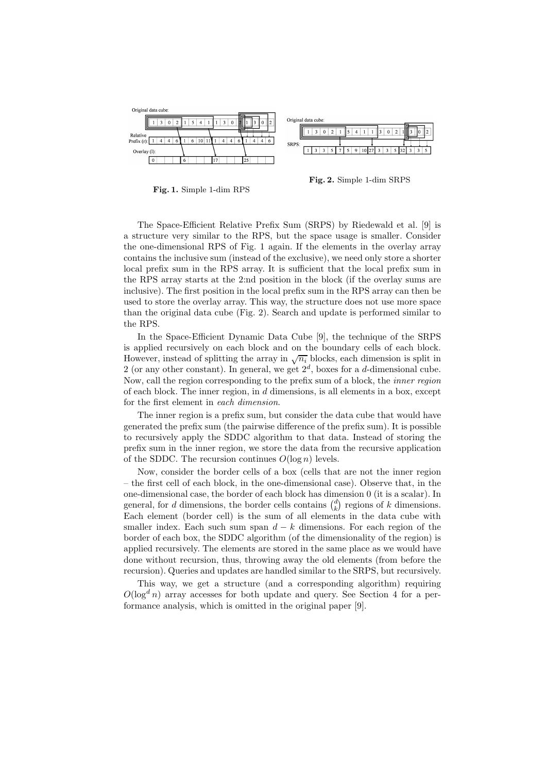

Fig. 1. Simple 1-dim RPS

Fig. 2. Simple 1-dim SRPS

The Space-Efficient Relative Prefix Sum (SRPS) by Riedewald et al. [9] is a structure very similar to the RPS, but the space usage is smaller. Consider the one-dimensional RPS of Fig. 1 again. If the elements in the overlay array contains the inclusive sum (instead of the exclusive), we need only store a shorter local prefix sum in the RPS array. It is sufficient that the local prefix sum in the RPS array starts at the 2:nd position in the block (if the overlay sums are inclusive). The first position in the local prefix sum in the RPS array can then be used to store the overlay array. This way, the structure does not use more space than the original data cube (Fig. 2). Search and update is performed similar to the RPS.

In the Space-Efficient Dynamic Data Cube [9], the technique of the SRPS is applied recursively on each block and on the boundary cells of each block. However, instead of splitting the array in  $\sqrt{n_i}$  blocks, each dimension is split in 2 (or any other constant). In general, we get  $2^d$ , boxes for a d-dimensional cube. Now, call the region corresponding to the prefix sum of a block, the inner region of each block. The inner region, in  $d$  dimensions, is all elements in a box, except for the first element in each dimension.

The inner region is a prefix sum, but consider the data cube that would have generated the prefix sum (the pairwise difference of the prefix sum). It is possible to recursively apply the SDDC algorithm to that data. Instead of storing the prefix sum in the inner region, we store the data from the recursive application of the SDDC. The recursion continues  $O(\log n)$  levels.

Now, consider the border cells of a box (cells that are not the inner region – the first cell of each block, in the one-dimensional case). Observe that, in the one-dimensional case, the border of each block has dimension 0 (it is a scalar). In general, for d dimensions, the border cells contains  $\binom{d}{k}$  regions of k dimensions. Each element (border cell) is the sum of all elements in the data cube with smaller index. Each such sum span  $d - k$  dimensions. For each region of the border of each box, the SDDC algorithm (of the dimensionality of the region) is applied recursively. The elements are stored in the same place as we would have done without recursion, thus, throwing away the old elements (from before the recursion). Queries and updates are handled similar to the SRPS, but recursively.

This way, we get a structure (and a corresponding algorithm) requiring  $O(\log^d n)$  array accesses for both update and query. See Section 4 for a performance analysis, which is omitted in the original paper [9].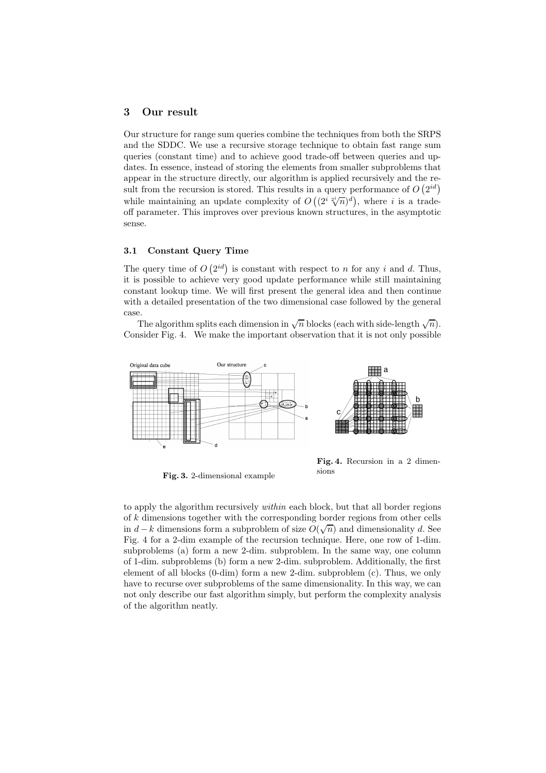# 3 Our result

Our structure for range sum queries combine the techniques from both the SRPS and the SDDC. We use a recursive storage technique to obtain fast range sum queries (constant time) and to achieve good trade-off between queries and updates. In essence, instead of storing the elements from smaller subproblems that appear in the structure directly, our algorithm is applied recursively and the result from the recursion is stored. This results in a query performance of  $O(2^{id})$ while maintaining an update complexity of  $O((2^{i} \sqrt[2^n]{n})^d)$ , where i is a tradeoff parameter. This improves over previous known structures, in the asymptotic sense.

# 3.1 Constant Query Time

The query time of  $O(2^{id})$  is constant with respect to n for any i and d. Thus, it is possible to achieve very good update performance while still maintaining constant lookup time. We will first present the general idea and then continue with a detailed presentation of the two dimensional case followed by the general case.

The algorithm splits each dimension in  $\sqrt{n}$  blocks (each with side-length  $\sqrt{n}$ ). Consider Fig. 4. We make the important observation that it is not only possible



Fig. 3. 2-dimensional example

Fig. 4. Recursion in a 2 dimensions

to apply the algorithm recursively within each block, but that all border regions of k dimensions together with the corresponding border regions from other cells in  $d - k$  dimensions form a subproblem of size  $O(\sqrt{n})$  and dimensionality d. See Fig. 4 for a 2-dim example of the recursion technique. Here, one row of 1-dim. subproblems (a) form a new 2-dim. subproblem. In the same way, one column of 1-dim. subproblems (b) form a new 2-dim. subproblem. Additionally, the first element of all blocks (0-dim) form a new 2-dim. subproblem (c). Thus, we only have to recurse over subproblems of the same dimensionality. In this way, we can not only describe our fast algorithm simply, but perform the complexity analysis of the algorithm neatly.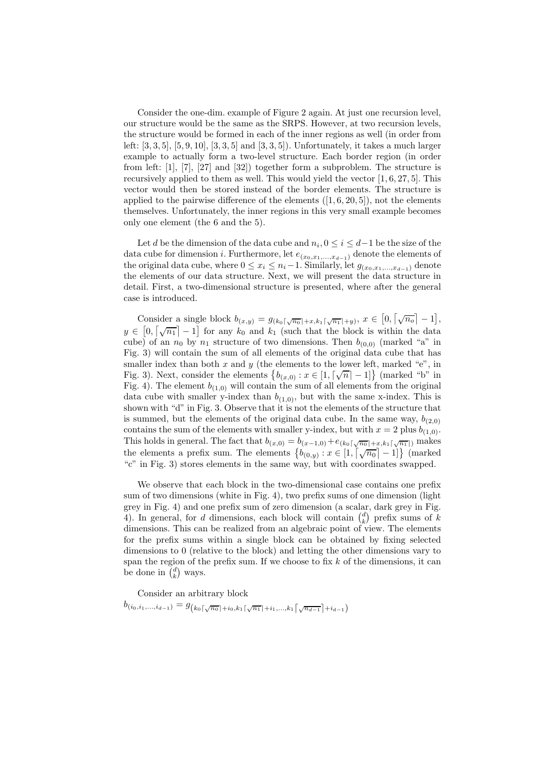Consider the one-dim. example of Figure 2 again. At just one recursion level, our structure would be the same as the SRPS. However, at two recursion levels, the structure would be formed in each of the inner regions as well (in order from left:  $[3, 3, 5]$ ,  $[5, 9, 10]$ ,  $[3, 3, 5]$  and  $[3, 3, 5]$ ). Unfortunately, it takes a much larger example to actually form a two-level structure. Each border region (in order from left: [1], [7], [27] and [32]) together form a subproblem. The structure is recursively applied to them as well. This would yield the vector [1, 6, 27, 5]. This vector would then be stored instead of the border elements. The structure is applied to the pairwise difference of the elements  $([1, 6, 20, 5])$ , not the elements themselves. Unfortunately, the inner regions in this very small example becomes only one element (the 6 and the 5).

Let d be the dimension of the data cube and  $n_i, 0 \le i \le d-1$  be the size of the data cube for dimension *i*. Furthermore, let  $e_{(x_0,x_1,...,x_{d-1})}$  denote the elements of the original data cube, where  $0 \le x_i \le n_i-1$ . Similarly, let  $g_{(x_0,x_1,...,x_{d-1})}$  denote the elements of our data structure. Next, we will present the data structure in detail. First, a two-dimensional structure is presented, where after the general case is introduced.

Consider a single block  $b_{(x,y)} = g_{(k_0\lceil \sqrt{n_0}\rceil + x, k_1\lceil \sqrt{n_1}\rceil + y)}, x \in [0, \lceil \sqrt{n_0}\rceil - 1],$  $y \in [0, \sqrt{n_1} - 1]$  for any  $k_0$  and  $k_1$  (such that the block is within the data cube) of an  $n_0$  by  $n_1$  structure of two dimensions. Then  $b_{(0,0)}$  (marked "a" in Fig. 3) will contain the sum of all elements of the original data cube that has smaller index than both  $x$  and  $y$  (the elements to the lower left, marked "e", in Fig. 3). Next, consider the elements  $\{b_{(x,0)} : x \in [1, \lceil \sqrt{n} \rceil - 1] \}$  (marked "b" in Fig. 4). The element  $b_{(1,0)}$  will contain the sum of all elements from the original data cube with smaller y-index than  $b_{(1,0)}$ , but with the same x-index. This is shown with "d" in Fig. 3. Observe that it is not the elements of the structure that is summed, but the elements of the original data cube. In the same way,  $b_{(2,0)}$ contains the sum of the elements with smaller y-index, but with  $x = 2$  plus  $b_{(1,0)}$ . This holds in general. The fact that  $b_{(x,0)} = b_{(x-1,0)} + e_{(k_0\lceil \sqrt{n_0} \rceil + x, k_1\lceil \sqrt{n_1} \rceil)}$  makes the elements a prefix sum. The elements  $\{b_{(0,y)} : x \in [1, \lceil \sqrt{n_0} \rceil - 1] \}$  (marked "c" in Fig. 3) stores elements in the same way, but with coordinates swapped.

We observe that each block in the two-dimensional case contains one prefix sum of two dimensions (white in Fig. 4), two prefix sums of one dimension (light grey in Fig. 4) and one prefix sum of zero dimension (a scalar, dark grey in Fig. 4). In general, for d dimensions, each block will contain  $\binom{d}{k}$  prefix sums of k dimensions. This can be realized from an algebraic point of view. The elements for the prefix sums within a single block can be obtained by fixing selected dimensions to 0 (relative to the block) and letting the other dimensions vary to span the region of the prefix sum. If we choose to fix  $k$  of the dimensions, it can be done in  $\binom{d}{k}$  ways.

Consider an arbitrary block

 $b_{(i_0,i_1,...,i_{d-1})} = g_{(k_0\lceil \sqrt{n_0}\rceil + i_0,k_1\lceil \sqrt{n_1}\rceil + i_1,...,k_1\lceil \sqrt{n_{d-1}}\rceil + i_{d-1})}$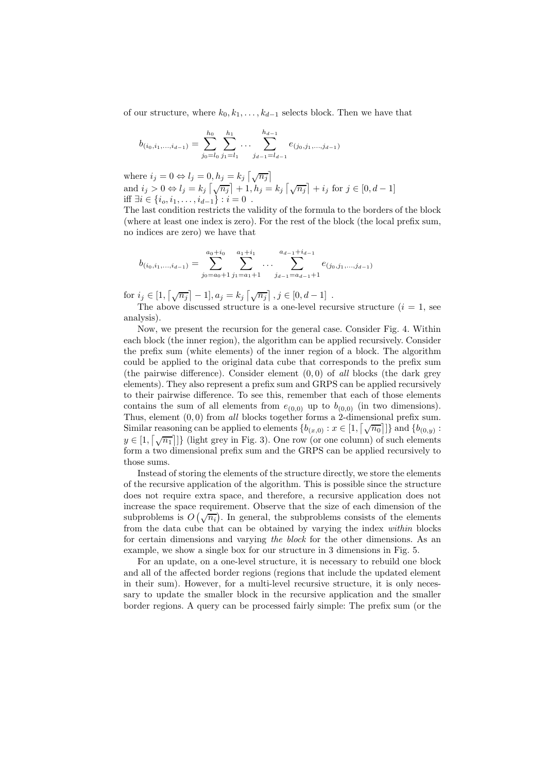of our structure, where  $k_0, k_1, \ldots, k_{d-1}$  selects block. Then we have that

$$
b_{(i_0,i_1,...,i_{d-1})} = \sum_{j_0=l_0}^{h_0} \sum_{j_1=l_1}^{h_1} \dots \sum_{j_{d-1}=l_{d-1}}^{h_{d-1}} e_{(j_0,j_1,...,j_{d-1})}
$$

where  $i_j = 0 \Leftrightarrow l_j = 0, h_j = k_j \left[ \sqrt{n_j} \right]$ and  $i_j > 0 \Leftrightarrow l_j = k_j \left[ \sqrt{n_j} \right] + 1, h_j = k_j \left[ \sqrt{n_j} \right] + i_j \text{ for } j \in [0, d - 1]$ iff  $\exists i \in \{i_0, i_1, \ldots, i_{d-1}\} : i = 0$ .

The last condition restricts the validity of the formula to the borders of the block (where at least one index is zero). For the rest of the block (the local prefix sum, no indices are zero) we have that

$$
b_{(i_0,i_1,...,i_{d-1})} = \sum_{j_0=a_0+1}^{a_0+i_0} \sum_{j_1=a_1+1}^{a_1+i_1} \dots \sum_{j_{d-1}=a_{d-1}+1}^{a_{d-1}+i_{d-1}} e_{(j_0,j_1,...,j_{d-1})}
$$

for  $i_j \in [1, \lceil \sqrt{n_j} \rceil - 1], a_j = k_j \lceil \sqrt{n_j} \rceil, j \in [0, d - 1]$ .

The above discussed structure is a one-level recursive structure  $(i = 1, \text{ see})$ analysis).

Now, we present the recursion for the general case. Consider Fig. 4. Within each block (the inner region), the algorithm can be applied recursively. Consider the prefix sum (white elements) of the inner region of a block. The algorithm could be applied to the original data cube that corresponds to the prefix sum (the pairwise difference). Consider element  $(0, 0)$  of all blocks (the dark grey elements). They also represent a prefix sum and GRPS can be applied recursively to their pairwise difference. To see this, remember that each of those elements contains the sum of all elements from  $e_{(0,0)}$  up to  $b_{(0,0)}$  (in two dimensions). Thus, element  $(0, 0)$  from all blocks together forms a 2-dimensional prefix sum. Similar reasoning can be applied to elements  $\{b_{(x,0)} : x \in [1, \lceil \sqrt{n_0} \rceil] \}$  and  $\{b_{(0,y)} : x \in [1, \lceil \sqrt{n_0} \rceil] \}$  $y \in [1, \lceil \sqrt{n_1} \rceil]$  (light grey in Fig. 3). One row (or one column) of such elements form a two dimensional prefix sum and the GRPS can be applied recursively to those sums.

Instead of storing the elements of the structure directly, we store the elements of the recursive application of the algorithm. This is possible since the structure does not require extra space, and therefore, a recursive application does not increase the space requirement. Observe that the size of each dimension of the subproblems is  $O(\sqrt{n_i})$ . In general, the subproblems consists of the elements from the data cube that can be obtained by varying the index within blocks for certain dimensions and varying the block for the other dimensions. As an example, we show a single box for our structure in 3 dimensions in Fig. 5.

For an update, on a one-level structure, it is necessary to rebuild one block and all of the affected border regions (regions that include the updated element in their sum). However, for a multi-level recursive structure, it is only necessary to update the smaller block in the recursive application and the smaller border regions. A query can be processed fairly simple: The prefix sum (or the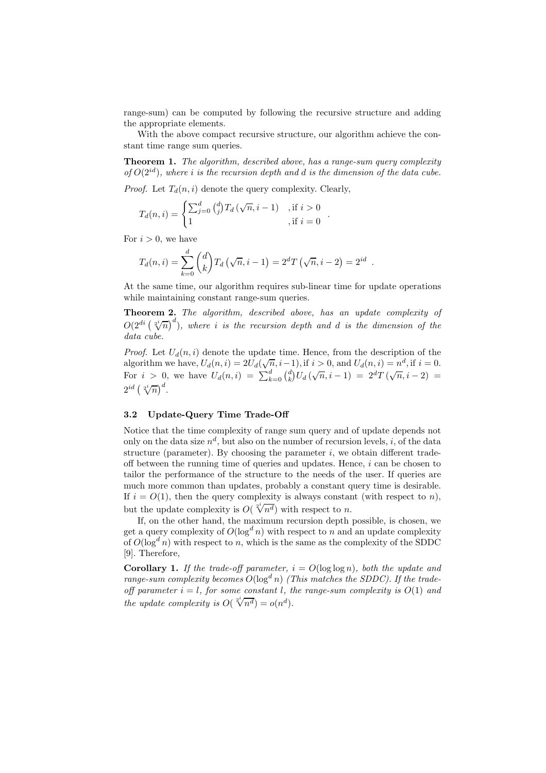range-sum) can be computed by following the recursive structure and adding the appropriate elements.

With the above compact recursive structure, our algorithm achieve the constant time range sum queries.

Theorem 1. The algorithm, described above, has a range-sum query complexity of  $O(2^{id})$ , where i is the recursion depth and d is the dimension of the data cube.

.

*Proof.* Let  $T_d(n, i)$  denote the query complexity. Clearly,

$$
T_d(n, i) = \begin{cases} \sum_{j=0}^d {d \choose j} T_d(\sqrt{n}, i-1) & , \text{if } i > 0 \\ 1 & , \text{if } i = 0 \end{cases}
$$

For  $i > 0$ , we have

$$
T_d(n,i) = \sum_{k=0}^d {d \choose k} T_d (\sqrt{n}, i-1) = 2^d T (\sqrt{n}, i-2) = 2^{id}.
$$

At the same time, our algorithm requires sub-linear time for update operations while maintaining constant range-sum queries.

Theorem 2. The algorithm, described above, has an update complexity of  $O(2^{di} (\sqrt[2^n]{n})^d)$ , where i is the recursion depth and d is the dimension of the data cube.

*Proof.* Let  $U_d(n, i)$  denote the update time. Hence, from the description of the algorithm we have,  $U_d(n, i) = 2U_d(\sqrt{n}, i-1)$ , if  $i > 0$ , and  $U_d(n, i) = n^d$ , if  $i = 0$ . For  $i > 0$ , we have  $U_d(n,i) = \sum_{k=0}^d {d \choose k} U_d(\sqrt{n}, i-1) = 2^d T(\sqrt{n}, i-2) =$  $2^{id}(\sqrt[2^i]{n})^d$ .

### 3.2 Update-Query Time Trade-Off

Notice that the time complexity of range sum query and of update depends not only on the data size  $n^d$ , but also on the number of recursion levels, *i*, of the data structure (parameter). By choosing the parameter  $i$ , we obtain different tradeoff between the running time of queries and updates. Hence,  $i$  can be chosen to tailor the performance of the structure to the needs of the user. If queries are much more common than updates, probably a constant query time is desirable. If  $i = O(1)$ , then the query complexity is always constant (with respect to n), but the update complexity is  $O(\sqrt[2^{i}]{n^{d}})$  with respect to n.

If, on the other hand, the maximum recursion depth possible, is chosen, we get a query complexity of  $O(\log^d n)$  with respect to n and an update complexity of  $O(\log^d n)$  with respect to n, which is the same as the complexity of the SDDC [9]. Therefore,

**Corollary 1.** If the trade-off parameter,  $i = O(\log \log n)$ , both the update and range-sum complexity becomes  $O(\log^d n)$  (This matches the SDDC). If the tradeoff parameter  $i = l$ , for some constant l, the range-sum complexity is  $O(1)$  and the update complexity is  $O(\sqrt[2^{i}]{n^d}) = o(n^d)$ .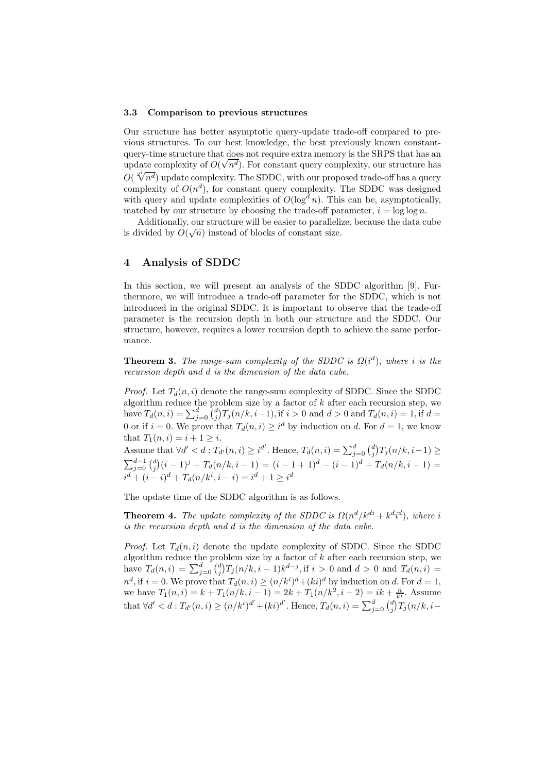#### 3.3 Comparison to previous structures

Our structure has better asymptotic query-update trade-off compared to previous structures. To our best knowledge, the best previously known constantquery-time structure that does not require extra memory is the SRPS that has an update complexity of  $O(\sqrt{n^d})$ . For constant query complexity, our structure has  $O(\sqrt[2^{i}]{n^{d}})$  update complexity. The SDDC, with our proposed trade-off has a query complexity of  $O(n^d)$ , for constant query complexity. The SDDC was designed with query and update complexities of  $O(\log^d n)$ . This can be, asymptotically, matched by our structure by choosing the trade-off parameter,  $i = \log \log n$ .

Additionally, our structure will be easier to parallelize, because the data cube is divided by  $O(\sqrt{n})$  instead of blocks of constant size.

# 4 Analysis of SDDC

In this section, we will present an analysis of the SDDC algorithm [9]. Furthermore, we will introduce a trade-off parameter for the SDDC, which is not introduced in the original SDDC. It is important to observe that the trade-off parameter is the recursion depth in both our structure and the SDDC. Our structure, however, requires a lower recursion depth to achieve the same performance.

**Theorem 3.** The range-sum complexity of the SDDC is  $\Omega(i^d)$ , where i is the recursion depth and d is the dimension of the data cube.

*Proof.* Let  $T_d(n, i)$  denote the range-sum complexity of SDDC. Since the SDDC algorithm reduce the problem size by a factor of  $k$  after each recursion step, we have  $T_d(n, i) = \sum_{j=0}^d {d \choose j} T_j(n/k, i-1)$ , if  $i > 0$  and  $d > 0$  and  $T_d(n, i) = 1$ , if  $d =$ 0 or if  $i = 0$ . We prove that  $T_d(n, i) \geq i^d$  by induction on d. For  $d = 1$ , we know that  $T_1(n, i) = i + 1 \geq i$ .

Assume that  $\forall d' < d : T_{d'}(n, i) \geq i^{d'}$ . Hence,  $T_d(n, i) = \sum_{j=0}^d {d \choose j} T_j(n/k, i-1) \geq$  $\sum_{j=0}^{d-1} {d \choose j} (i-1)^j + T_d(n/k, i-1) = (i-1+1)^d - (i-1)^d + T_d(n/k, i-1) =$  $i^d + (i - i)^d + T_d(n/k^i, i - i) = i^d + 1 \geq i^d$ 

The update time of the SDDC algorithm is as follows.

**Theorem 4.** The update complexity of the SDDC is  $\Omega(n^d/k^{di} + k^d i^d)$ , where i is the recursion depth and d is the dimension of the data cube.

*Proof.* Let  $T_d(n, i)$  denote the update complexity of SDDC. Since the SDDC algorithm reduce the problem size by a factor of  $k$  after each recursion step, we have  $T_d(n,i) = \sum_{j=0}^d {d \choose j} T_j(n/k, i-1) k^{d-j}$ , if  $i > 0$  and  $d > 0$  and  $T_d(n,i) =$  $n^d$ , if  $i = 0$ . We prove that  $T_d(n, i) \ge (n/k^i)^d + (ki)^d$  by induction on d. For  $d = 1$ , we have  $T_1(n, i) = k + T_1(n/k, i - 1) = 2k + T_1(n/k^2, i - 2) = ik + \frac{n}{k^i}$ . Assume that  $\forall d' < d : T_{d'}(n,i) \ge (n/k^i)^{d'} + (ki)^{d'}$ . Hence,  $T_d(n,i) = \sum_{j=0}^d {d \choose j} T_j(n/k, i -$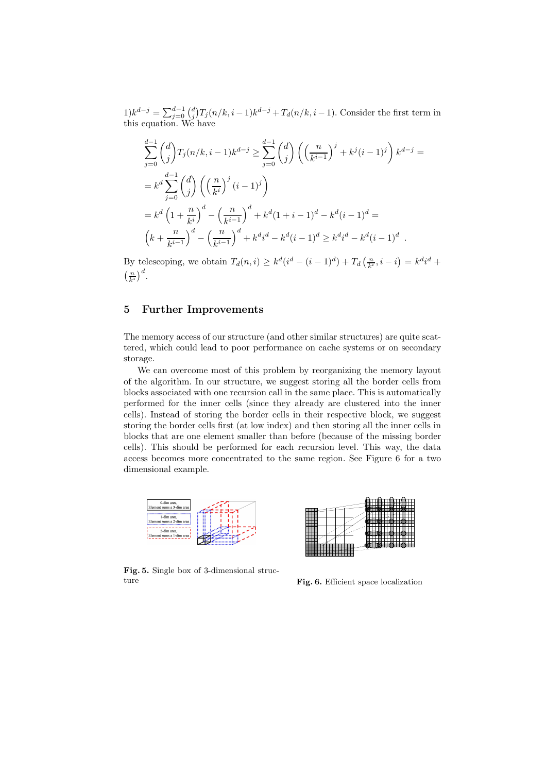$1) k^{d-j} = \sum_{j=0}^{d-1} {d \choose j} T_j(n/k, i-1) k^{d-j} + T_d(n/k, i-1)$ . Consider the first term in this equation. We have

$$
\sum_{j=0}^{d-1} {d \choose j} T_j(n/k, i-1)k^{d-j} \ge \sum_{j=0}^{d-1} {d \choose j} \left( \left( \frac{n}{k^{i-1}} \right)^j + k^j (i-1)^j \right) k^{d-j} =
$$
  

$$
= k^d \sum_{j=0}^{d-1} {d \choose j} \left( \left( \frac{n}{k^i} \right)^j (i-1)^j \right)
$$
  

$$
= k^d \left( 1 + \frac{n}{k^i} \right)^d - \left( \frac{n}{k^{i-1}} \right)^d + k^d (1+i-1)^d - k^d (i-1)^d =
$$
  

$$
\left( k + \frac{n}{k^{i-1}} \right)^d - \left( \frac{n}{k^{i-1}} \right)^d + k^d i^d - k^d (i-1)^d \ge k^d i^d - k^d (i-1)^d.
$$

By telescoping, we obtain  $T_d(n, i) \geq k^d(i^d - (i - 1)^d) + T_d\left(\frac{n}{k^i}, i - i\right) = k^d i^d +$  $\left(\frac{n}{k^i}\right)^d$ .

# 5 Further Improvements

The memory access of our structure (and other similar structures) are quite scattered, which could lead to poor performance on cache systems or on secondary storage.

We can overcome most of this problem by reorganizing the memory layout of the algorithm. In our structure, we suggest storing all the border cells from blocks associated with one recursion call in the same place. This is automatically performed for the inner cells (since they already are clustered into the inner cells). Instead of storing the border cells in their respective block, we suggest storing the border cells first (at low index) and then storing all the inner cells in blocks that are one element smaller than before (because of the missing border cells). This should be performed for each recursion level. This way, the data access becomes more concentrated to the same region. See Figure 6 for a two dimensional example.



0 0

Fig. 5. Single box of 3-dimensional structure

Fig. 6. Efficient space localization